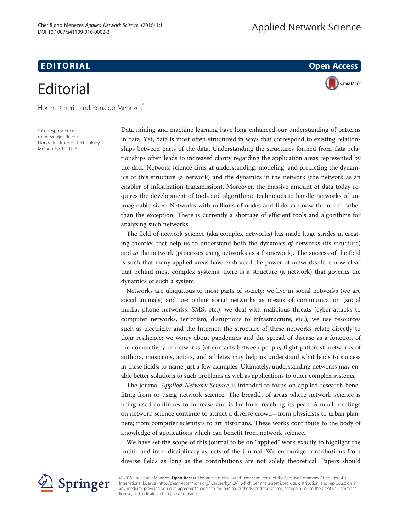## EDI TORIA L Open Access

## **Editorial**

Hocine Cherifi and Ronaldo Menezes<sup>\*</sup>

\* Correspondence: [rmenezes@cs.fit.edu](mailto:rmenezes@cs.fit.edu) Florida Institute of Technology, Melbourne, FL, USA

Data mining and machine learning have long enhanced our understanding of patterns in data. Yet, data is most often structured in ways that correspond to existing relationships between parts of the data. Understanding the structures formed from data relationships often leads to increased clarity regarding the application areas represented by the data. Network science aims at understanding, modeling, and predicting the dynamics of this structure (a network) and the dynamics in the network (the network as an enabler of information transmission). Moreover, the massive amount of data today requires the development of tools and algorithmic techniques to handle networks of unimaginable sizes. Networks with millions of nodes and links are now the norm rather than the exception. There is currently a shortage of efficient tools and algorithms for analyzing such networks.

The field of network science (aka complex networks) has made huge strides in creating theories that help us to understand both the dynamics of networks (its structure) and in the network (processes using networks as a framework). The success of the field is such that many applied areas have embraced the power of networks. It is now clear that behind most complex systems, there is a structure (a network) that governs the dynamics of such a system.

Networks are ubiquitous to most parts of society; we live in social networks (we are social animals) and use online social networks as means of communication (social media, phone networks, SMS, etc.); we deal with malicious threats (cyber-attacks to computer networks, terrorism, disruptions to infrastructure, etc.); we use resources such as electricity and the Internet; the structure of these networks relate directly to their resilience; we worry about pandemics and the spread of disease as a function of the connectivity of networks (of contacts between people, flight patterns); networks of authors, musicians, actors, and athletes may help us understand what leads to success in these fields; to name just a few examples. Ultimately, understanding networks may enable better solutions to such problems as well as applications to other complex systems.

The journal Applied Network Science is intended to focus on applied research benefiting from or using network science. The breadth of areas where network science is being used continues to increase and is far from reaching its peak. Annual meetings on network science continue to attract a diverse crowd—from physicists to urban planners; from computer scientists to art historians. These works contribute to the body of knowledge of applications which can benefit from network science.

We have set the scope of this journal to be on "applied" work exactly to highlight the multi- and inter-disciplinary aspects of the journal. We encourage contributions from diverse fields as long as the contributions are not solely theoretical. Papers should



© 2016 Cherifi and Menezes. Open Access This article is distributed under the terms of the Creative Commons Attribution 4.0 International License ([http://creativecommons.org/licenses/by/4.0/\)](http://creativecommons.org/licenses/by/4.0/), which permits unrestricted use, distribution, and reproduction in any medium, provided you give appropriate credit to the original author(s) and the source, provide a link to the Creative Commons license, and indicate if changes were made.